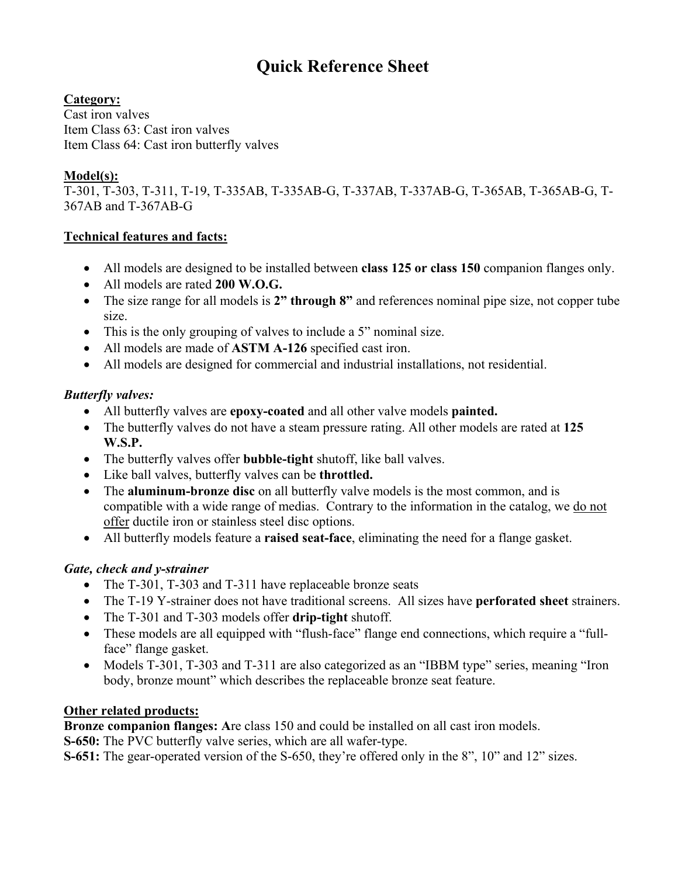# **Quick Reference Sheet**

### **Category:**

Cast iron valves Item Class 63: Cast iron valves Item Class 64: Cast iron butterfly valves

### **Model(s):**

T-301, T-303, T-311, T-19, T-335AB, T-335AB-G, T-337AB, T-337AB-G, T-365AB, T-365AB-G, T-367AB and T-367AB-G

#### **Technical features and facts:**

- All models are designed to be installed between **class 125 or class 150** companion flanges only.
- All models are rated **200 W.O.G.**
- The size range for all models is **2" through 8"** and references nominal pipe size, not copper tube size.
- This is the only grouping of valves to include a 5" nominal size.
- All models are made of **ASTM A-126** specified cast iron.
- All models are designed for commercial and industrial installations, not residential.

### *Butterfly valves:*

- All butterfly valves are **epoxy-coated** and all other valve models **painted.**
- The butterfly valves do not have a steam pressure rating. All other models are rated at **125 W.S.P.**
- The butterfly valves offer **bubble-tight** shutoff, like ball valves.
- Like ball valves, butterfly valves can be **throttled.**
- The **aluminum-bronze disc** on all butterfly valve models is the most common, and is compatible with a wide range of medias. Contrary to the information in the catalog, we do not offer ductile iron or stainless steel disc options.
- All butterfly models feature a **raised seat-face**, eliminating the need for a flange gasket.

# *Gate, check and y-strainer*

- The T-301, T-303 and T-311 have replaceable bronze seats
- The T-19 Y-strainer does not have traditional screens. All sizes have **perforated sheet** strainers.
- The T-301 and T-303 models offer **drip-tight** shutoff.
- These models are all equipped with "flush-face" flange end connections, which require a "fullface" flange gasket.
- Models T-301, T-303 and T-311 are also categorized as an "IBBM type" series, meaning "Iron body, bronze mount" which describes the replaceable bronze seat feature.

# **Other related products:**

**Bronze companion flanges: A**re class 150 and could be installed on all cast iron models.

**S-650:** The PVC butterfly valve series, which are all wafer-type.

**S-651:** The gear-operated version of the S-650, they're offered only in the 8", 10" and 12" sizes.